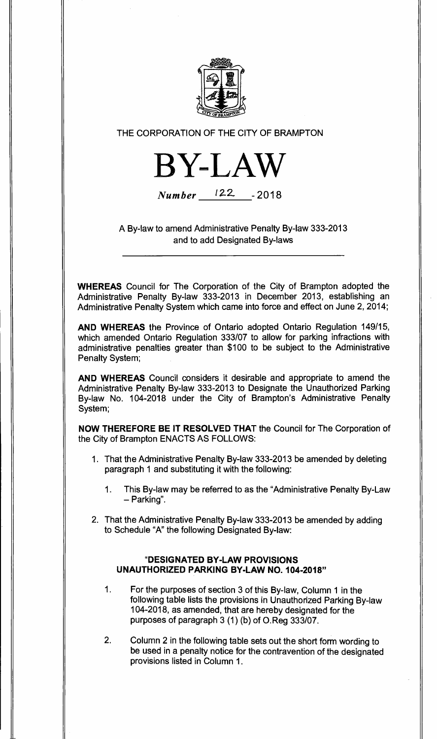

THE CORPORATION OF THE CITY OF BRAMPTON



**Number** 122. **- 2018** 

A By-law to amend Administrative Penalty By-law 333-2013 and to add Designated By-laws

**WHEREAS** Council for The Corporation of the City of Brampton adopted the Administrative Penalty By-law 333-2013 in December 2013, establishing an Administrative Penalty System which came into force and effect on June 2, 2014;

**AND WHEREAS** the Province of Ontario adopted Ontario Regulation 149/15, which amended Ontario Regulation 333/07 to allow for parking infractions with administrative penalties greater than \$100 to be subject to the Administrative Penalty System;

**AND WHEREAS** Council considers it desirable and appropriate to amend the Administrative Penalty By-law 333-2013 to Designate the Unauthorized Parking By-law No. 104-2018 under the City of Brampton's Administrative Penalty System;

**NOW THEREFORE BE IT RESOLVED THAT** the Council for The Corporation of the City of Brampton ENACTS AS FOLLOWS:

- 1. That the Administrative Penalty By-law 333-2013 be amended by deleting paragraph 1 and substituting it with the following:
	- 1. This By-law may be referred to as the "Administrative Penalty By-Law — Parking".
- 2. That the Administrative Penalty By-law 333-2013 be amended by adding to Schedule "A" the following Designated By-law:

## **"DESIGNATED BY-LAW PROVISIONS UNAUTHORIZED PARKING BY-LAW NO. 104-2018"**

- 1. For the purposes of section 3 of this By-law, Column 1 in the following table lists the provisions in Unauthorized Parking By-law 104-2018, as amended, that are hereby designated for the purposes of paragraph 3 (1) (b) of O.Reg 333/07.
- 2. Column 2 in the following table sets out the short form wording to be used in a penalty notice for the contravention of the designated provisions listed in Column 1.